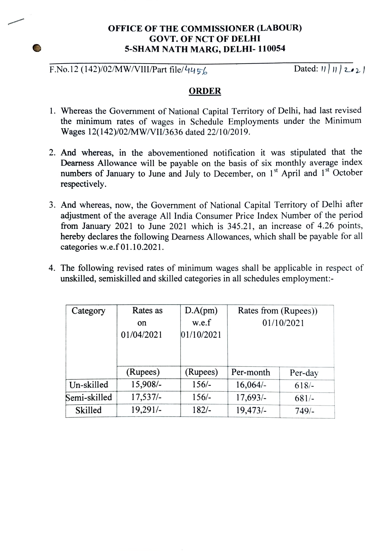## OFFICE OF THE COMMISSIONER (LABOUR) GOVT. OF NCT OF DELHI 5-SHAM NATH MARG, DELHI- 110054

## F.No.12 (142)/02/MW/VIII/Part file/445/

## **ORDER**

- 1. Whereas the Government of National Capital Territory of Delhi, had last revised the minimum rates of wages in Schedule Employments under the Minimum Wages 12(142)/02/MW/VII/3636 dated 22/10/2019.
- 2. And whereas, in the abovementioned notification it was stipulated that the Dearness Allowance will be payable on the basis of six monthly average index numbers of January to June and July to December, on 1<sup>st</sup> April and 1<sup>st</sup> October respectively.
- 3. And whereas, now, the Government of National Capital Territory of Delhi after adjustment of the average All India Consumer Price Index Number of the period from January 2021 to June 2021 which is 345.21, an increase of 4.26 points, hereby declares the following Dearness Allowances, which shall be payable for all categories w.e.f 01.10.2021.
- 4. The following revised rates of minimum wages shall be applicable in respect of unskilled, semiskilled and skilled categories in all schedules employment:-

| Category     | Rates as      | D.A(pm)    | Rates from (Rupees)) |         |
|--------------|---------------|------------|----------------------|---------|
|              | <sub>on</sub> | w.e.f      | 01/10/2021           |         |
|              | 01/04/2021    | 01/10/2021 |                      |         |
|              |               |            |                      |         |
|              |               |            |                      |         |
|              | (Rupees)      | (Rupees)   | Per-month            | Per-day |
| Un-skilled   | 15,908/-      | $156/-$    | $16,064/-$           | $618/-$ |
| Semi-skilled | $17,537/-$    | $156/-$    | $17,693/-$           | $681/-$ |
| Skilled      | 19,291/-      | $182/-$    | 19,473/              | $749/-$ |